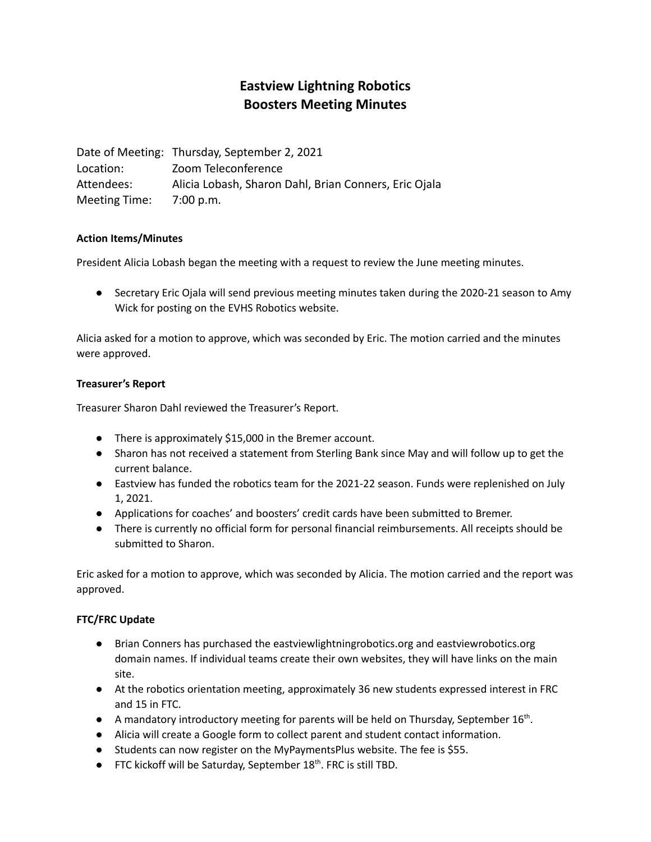# **Eastview Lightning Robotics Boosters Meeting Minutes**

Date of Meeting: Thursday, September 2, 2021 Location: Zoom Teleconference Attendees: Alicia Lobash, Sharon Dahl, Brian Conners, Eric Ojala Meeting Time: 7:00 p.m.

### **Action Items/Minutes**

President Alicia Lobash began the meeting with a request to review the June meeting minutes.

● Secretary Eric Ojala will send previous meeting minutes taken during the 2020-21 season to Amy Wick for posting on the EVHS Robotics website.

Alicia asked for a motion to approve, which was seconded by Eric. The motion carried and the minutes were approved.

### **Treasurer's Report**

Treasurer Sharon Dahl reviewed the Treasurer's Report.

- There is approximately \$15,000 in the Bremer account.
- Sharon has not received a statement from Sterling Bank since May and will follow up to get the current balance.
- Eastview has funded the robotics team for the 2021-22 season. Funds were replenished on July 1, 2021.
- Applications for coaches' and boosters' credit cards have been submitted to Bremer.
- There is currently no official form for personal financial reimbursements. All receipts should be submitted to Sharon.

Eric asked for a motion to approve, which was seconded by Alicia. The motion carried and the report was approved.

### **FTC/FRC Update**

- Brian Conners has purchased the eastviewlightningrobotics.org and eastviewrobotics.org domain names. If individual teams create their own websites, they will have links on the main site.
- At the robotics orientation meeting, approximately 36 new students expressed interest in FRC and 15 in FTC.
- A mandatory introductory meeting for parents will be held on Thursday, September 16<sup>th</sup>.
- Alicia will create a Google form to collect parent and student contact information.
- Students can now register on the MyPaymentsPlus website. The fee is \$55.
- FTC kickoff will be Saturday, September 18<sup>th</sup>. FRC is still TBD.